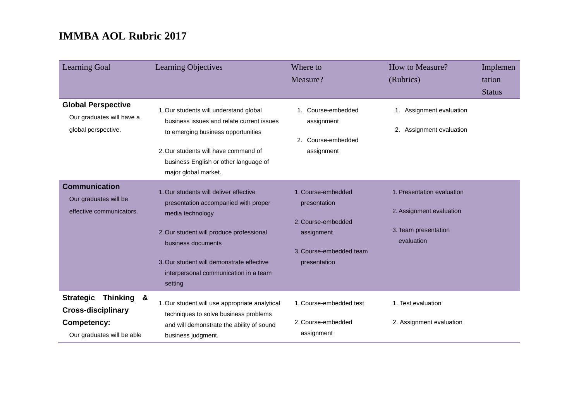| <b>Learning Goal</b>                                                                                            | Learning Objectives                                                                                                                                                                                                                                                   | Where to<br>Measure?                                                                                              | How to Measure?<br>(Rubrics)                                                                 | Implemen<br>tation<br><b>Status</b> |
|-----------------------------------------------------------------------------------------------------------------|-----------------------------------------------------------------------------------------------------------------------------------------------------------------------------------------------------------------------------------------------------------------------|-------------------------------------------------------------------------------------------------------------------|----------------------------------------------------------------------------------------------|-------------------------------------|
| <b>Global Perspective</b><br>Our graduates will have a<br>global perspective.                                   | 1. Our students will understand global<br>business issues and relate current issues<br>to emerging business opportunities<br>2. Our students will have command of<br>business English or other language of<br>major global market.                                    | Course-embedded<br>assignment<br>2. Course-embedded<br>assignment                                                 | 1. Assignment evaluation<br>2. Assignment evaluation                                         |                                     |
| <b>Communication</b><br>Our graduates will be<br>effective communicators.                                       | 1. Our students will deliver effective<br>presentation accompanied with proper<br>media technology<br>2. Our student will produce professional<br>business documents<br>3. Our student will demonstrate effective<br>interpersonal communication in a team<br>setting | 1. Course-embedded<br>presentation<br>2. Course-embedded<br>assignment<br>3. Course-embedded team<br>presentation | 1. Presentation evaluation<br>2. Assignment evaluation<br>3. Team presentation<br>evaluation |                                     |
| Thinking &<br><b>Strategic</b><br><b>Cross-disciplinary</b><br><b>Competency:</b><br>Our graduates will be able | 1. Our student will use appropriate analytical<br>techniques to solve business problems<br>and will demonstrate the ability of sound<br>business judgment.                                                                                                            | 1. Course-embedded test<br>2. Course-embedded<br>assignment                                                       | 1. Test evaluation<br>2. Assignment evaluation                                               |                                     |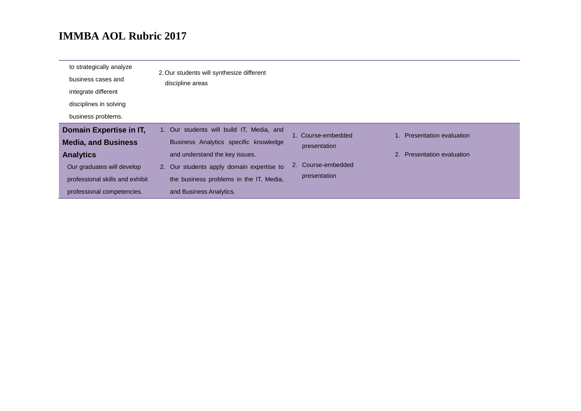| to strategically analyze<br>business cases and<br>integrate different | 2. Our students will synthesize different<br>discipline areas |                    |                            |
|-----------------------------------------------------------------------|---------------------------------------------------------------|--------------------|----------------------------|
| disciplines in solving                                                |                                                               |                    |                            |
| business problems.                                                    |                                                               |                    |                            |
| Domain Expertise in IT,                                               | 1. Our students will build IT, Media, and                     | 1. Course-embedded | Presentation evaluation    |
| <b>Media, and Business</b>                                            | Business Analytics specific knowledge                         | presentation       |                            |
| <b>Analytics</b>                                                      | and understand the key issues.                                |                    | 2. Presentation evaluation |
| Our graduates will develop                                            | 2. Our students apply domain expertise to                     | 2. Course-embedded |                            |
| professional skills and exhibit                                       | the business problems in the IT, Media,                       | presentation       |                            |
| professional competencies.                                            | and Business Analytics.                                       |                    |                            |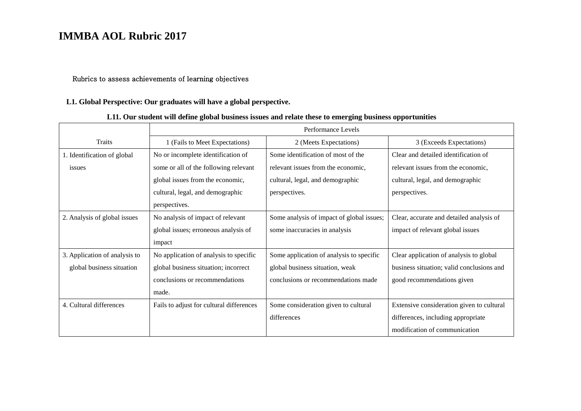#### Rubrics to assess achievements of learning objectives

#### **L1. Global Perspective: Our graduates will have a global perspective.**

#### **L11. Our student will define global business issues and relate these to emerging business opportunities**

|                               | Performance Levels                       |                                           |                                           |
|-------------------------------|------------------------------------------|-------------------------------------------|-------------------------------------------|
| <b>Traits</b>                 | 1 (Fails to Meet Expectations)           | 2 (Meets Expectations)                    | 3 (Exceeds Expectations)                  |
| 1. Identification of global   | No or incomplete identification of       | Some identification of most of the        | Clear and detailed identification of      |
| issues                        | some or all of the following relevant    | relevant issues from the economic,        | relevant issues from the economic,        |
|                               | global issues from the economic,         | cultural, legal, and demographic          | cultural, legal, and demographic          |
|                               | cultural, legal, and demographic         | perspectives.                             | perspectives.                             |
|                               | perspectives.                            |                                           |                                           |
| 2. Analysis of global issues  | No analysis of impact of relevant        | Some analysis of impact of global issues; | Clear, accurate and detailed analysis of  |
|                               | global issues; erroneous analysis of     | some inaccuracies in analysis             | impact of relevant global issues          |
|                               | impact                                   |                                           |                                           |
| 3. Application of analysis to | No application of analysis to specific   | Some application of analysis to specific  | Clear application of analysis to global   |
| global business situation     | global business situation; incorrect     | global business situation, weak           | business situation; valid conclusions and |
|                               | conclusions or recommendations           | conclusions or recommendations made       | good recommendations given                |
|                               | made.                                    |                                           |                                           |
| 4. Cultural differences       | Fails to adjust for cultural differences | Some consideration given to cultural      | Extensive consideration given to cultural |
|                               |                                          | differences                               | differences, including appropriate        |
|                               |                                          |                                           | modification of communication             |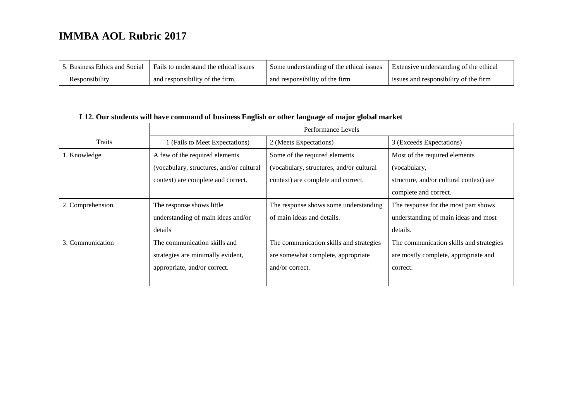| 5. Business Ethics and Social | Fails to understand the ethical issues | Some understanding of the ethical issues | Extensive understanding of the ethical |
|-------------------------------|----------------------------------------|------------------------------------------|----------------------------------------|
| Responsibility                | and responsibility of the firm.        | and responsibility of the firm           | issues and responsibility of the firm  |

#### **L12. Our students will have command of business English or other language of major global market**

|                  | Performance Levels                       |                                          |                                         |
|------------------|------------------------------------------|------------------------------------------|-----------------------------------------|
| <b>Traits</b>    | 1 (Fails to Meet Expectations)           | 2 (Meets Expectations)                   | 3 (Exceeds Expectations)                |
| 1. Knowledge     | A few of the required elements           | Some of the required elements            | Most of the required elements           |
|                  | (vocabulary, structures, and/or cultural | (vocabulary, structures, and/or cultural | (vocabulary,                            |
|                  | context) are complete and correct.       | context) are complete and correct.       | structure, and/or cultural context) are |
|                  |                                          |                                          | complete and correct.                   |
| 2. Comprehension | The response shows little                | The response shows some understanding    | The response for the most part shows    |
|                  | understanding of main ideas and/or       | of main ideas and details.               | understanding of main ideas and most    |
|                  | details                                  |                                          | details.                                |
| 3. Communication | The communication skills and             | The communication skills and strategies  | The communication skills and strategies |
|                  | strategies are minimally evident,        | are somewhat complete, appropriate       | are mostly complete, appropriate and    |
|                  | appropriate, and/or correct.             | and/or correct.                          | correct.                                |
|                  |                                          |                                          |                                         |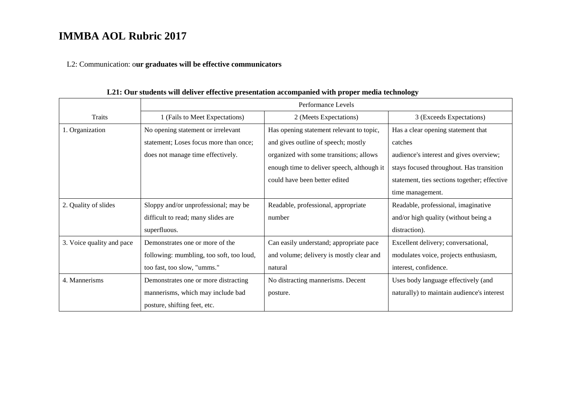L2: Communication: o**ur graduates will be effective communicators**

|                           | Performance Levels                       |                                            |                                              |
|---------------------------|------------------------------------------|--------------------------------------------|----------------------------------------------|
| <b>Traits</b>             | 1 (Fails to Meet Expectations)           | 2 (Meets Expectations)                     | 3 (Exceeds Expectations)                     |
| 1. Organization           | No opening statement or irrelevant       | Has opening statement relevant to topic,   | Has a clear opening statement that           |
|                           | statement; Loses focus more than once;   | and gives outline of speech; mostly        | catches                                      |
|                           | does not manage time effectively.        | organized with some transitions; allows    | audience's interest and gives overview;      |
|                           |                                          | enough time to deliver speech, although it | stays focused throughout. Has transition     |
|                           |                                          | could have been better edited              | statement, ties sections together; effective |
|                           |                                          |                                            | time management.                             |
| 2. Quality of slides      | Sloppy and/or unprofessional; may be     | Readable, professional, appropriate        | Readable, professional, imaginative          |
|                           | difficult to read; many slides are       | number                                     | and/or high quality (without being a         |
|                           | superfluous.                             |                                            | distraction).                                |
| 3. Voice quality and pace | Demonstrates one or more of the          | Can easily understand; appropriate pace    | Excellent delivery; conversational,          |
|                           | following: mumbling, too soft, too loud, | and volume; delivery is mostly clear and   | modulates voice, projects enthusiasm,        |
|                           | too fast, too slow, "umms."              | natural                                    | interest, confidence.                        |
| 4. Mannerisms             | Demonstrates one or more distracting     | No distracting mannerisms. Decent          | Uses body language effectively (and          |
|                           | mannerisms, which may include bad        | posture.                                   | naturally) to maintain audience's interest   |
|                           | posture, shifting feet, etc.             |                                            |                                              |

**L21: Our students will deliver effective presentation accompanied with proper media technology**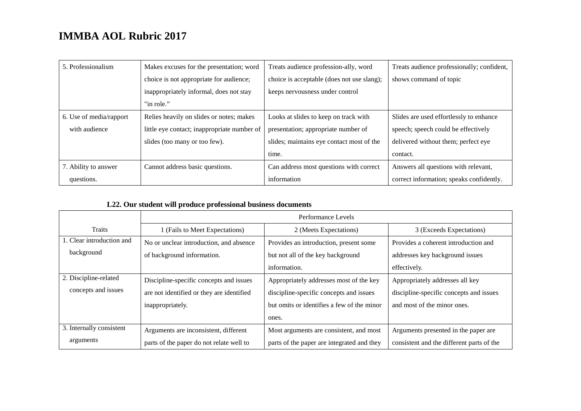| 5. Professionalism      | Makes excuses for the presentation; word    | Treats audience profession-ally, word      | Treats audience professionally; confident, |
|-------------------------|---------------------------------------------|--------------------------------------------|--------------------------------------------|
|                         | choice is not appropriate for audience;     | choice is acceptable (does not use slang); | shows command of topic                     |
|                         | inappropriately informal, does not stay     | keeps nervousness under control            |                                            |
|                         | "in role."                                  |                                            |                                            |
| 6. Use of media/rapport | Relies heavily on slides or notes; makes    | Looks at slides to keep on track with      | Slides are used effortlessly to enhance    |
| with audience           | little eye contact; inappropriate number of | presentation; appropriate number of        | speech; speech could be effectively        |
|                         | slides (too many or too few).               | slides; maintains eye contact most of the  | delivered without them; perfect eye        |
|                         |                                             | time.                                      | contact.                                   |
| 7. Ability to answer    | Cannot address basic questions.             | Can address most questions with correct    | Answers all questions with relevant,       |
| questions.              |                                             | information                                | correct information; speaks confidently.   |

#### **L22. Our student will produce professional business documents**

|                           | Performance Levels                        |                                            |                                           |
|---------------------------|-------------------------------------------|--------------------------------------------|-------------------------------------------|
| <b>Traits</b>             | 1 (Fails to Meet Expectations)            | 2 (Meets Expectations)                     | 3 (Exceeds Expectations)                  |
| 1. Clear introduction and | No or unclear introduction, and absence   | Provides an introduction, present some     | Provides a coherent introduction and      |
| background                | of background information.                | but not all of the key background          | addresses key background issues           |
|                           |                                           | information.                               | effectively.                              |
| 2. Discipline-related     | Discipline-specific concepts and issues   | Appropriately addresses most of the key    | Appropriately addresses all key           |
| concepts and issues       | are not identified or they are identified | discipline-specific concepts and issues    | discipline-specific concepts and issues   |
|                           | inappropriately.                          | but omits or identifies a few of the minor | and most of the minor ones.               |
|                           |                                           | ones.                                      |                                           |
| 3. Internally consistent  | Arguments are inconsistent, different     | Most arguments are consistent, and most    | Arguments presented in the paper are.     |
| arguments                 | parts of the paper do not relate well to  | parts of the paper are integrated and they | consistent and the different parts of the |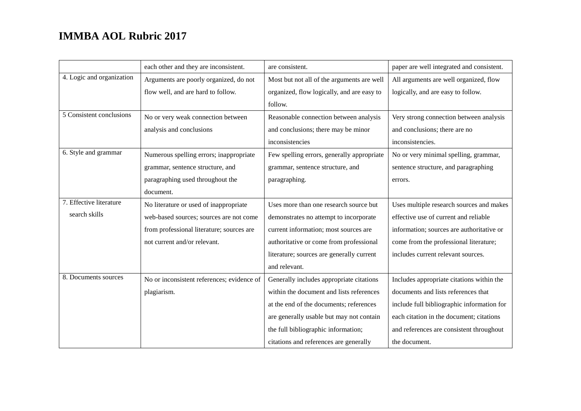|                           | each other and they are inconsistent.      | are consistent.                            | paper are well integrated and consistent.  |
|---------------------------|--------------------------------------------|--------------------------------------------|--------------------------------------------|
| 4. Logic and organization | Arguments are poorly organized, do not     | Most but not all of the arguments are well | All arguments are well organized, flow     |
|                           | flow well, and are hard to follow.         | organized, flow logically, and are easy to | logically, and are easy to follow.         |
|                           |                                            | follow.                                    |                                            |
| 5 Consistent conclusions  | No or very weak connection between         | Reasonable connection between analysis     | Very strong connection between analysis    |
|                           | analysis and conclusions                   | and conclusions; there may be minor        | and conclusions; there are no              |
|                           |                                            | inconsistencies                            | inconsistencies.                           |
| 6. Style and grammar      | Numerous spelling errors; inappropriate    | Few spelling errors, generally appropriate | No or very minimal spelling, grammar,      |
|                           | grammar, sentence structure, and           | grammar, sentence structure, and           | sentence structure, and paragraphing       |
|                           | paragraphing used throughout the           | paragraphing.                              | errors.                                    |
|                           | document.                                  |                                            |                                            |
| 7. Effective literature   | No literature or used of inappropriate     | Uses more than one research source but     | Uses multiple research sources and makes   |
| search skills             | web-based sources; sources are not come    | demonstrates no attempt to incorporate     | effective use of current and reliable      |
|                           | from professional literature; sources are  | current information; most sources are      | information; sources are authoritative or  |
|                           | not current and/or relevant.               | authoritative or come from professional    | come from the professional literature;     |
|                           |                                            | literature; sources are generally current  | includes current relevant sources.         |
|                           |                                            | and relevant.                              |                                            |
| 8. Documents sources      | No or inconsistent references; evidence of | Generally includes appropriate citations   | Includes appropriate citations within the  |
|                           | plagiarism.                                | within the document and lists references   | documents and lists references that        |
|                           |                                            | at the end of the documents; references    | include full bibliographic information for |
|                           |                                            | are generally usable but may not contain   | each citation in the document; citations   |
|                           |                                            | the full bibliographic information;        | and references are consistent throughout   |
|                           |                                            | citations and references are generally     | the document.                              |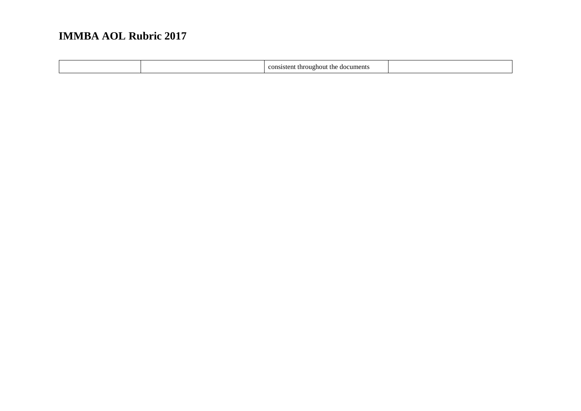| documents<br>throughout<br>≏ons<br>sistent<br>- une<br>. . |  |
|------------------------------------------------------------|--|
|------------------------------------------------------------|--|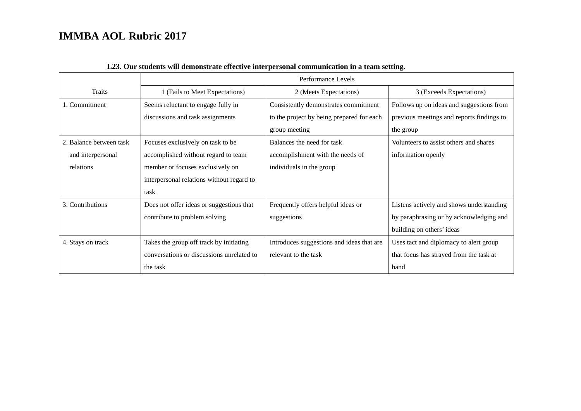|                         | Performance Levels                        |                                           |                                           |
|-------------------------|-------------------------------------------|-------------------------------------------|-------------------------------------------|
| <b>Traits</b>           | 1 (Fails to Meet Expectations)            | 2 (Meets Expectations)                    | 3 (Exceeds Expectations)                  |
| 1. Commitment           | Seems reluctant to engage fully in        | Consistently demonstrates commitment      | Follows up on ideas and suggestions from  |
|                         | discussions and task assignments          | to the project by being prepared for each | previous meetings and reports findings to |
|                         |                                           | group meeting                             | the group                                 |
| 2. Balance between task | Focuses exclusively on task to be         | Balances the need for task                | Volunteers to assist others and shares    |
| and interpersonal       | accomplished without regard to team       | accomplishment with the needs of          | information openly                        |
| relations               | member or focuses exclusively on          | individuals in the group                  |                                           |
|                         | interpersonal relations without regard to |                                           |                                           |
|                         | task                                      |                                           |                                           |
| 3. Contributions        | Does not offer ideas or suggestions that  | Frequently offers helpful ideas or        | Listens actively and shows understanding  |
|                         | contribute to problem solving             | suggestions                               | by paraphrasing or by acknowledging and   |
|                         |                                           |                                           | building on others' ideas                 |
| 4. Stays on track       | Takes the group off track by initiating   | Introduces suggestions and ideas that are | Uses tact and diplomacy to alert group    |
|                         | conversations or discussions unrelated to | relevant to the task                      | that focus has strayed from the task at   |
|                         | the task                                  |                                           | hand                                      |

#### **L23. Our students will demonstrate effective interpersonal communication in a team setting.**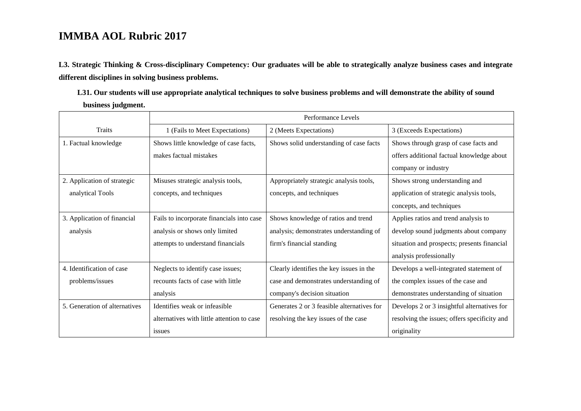**L3. Strategic Thinking & Cross-disciplinary Competency: Our graduates will be able to strategically analyze business cases and integrate different disciplines in solving business problems.** 

**L31. Our students will use appropriate analytical techniques to solve business problems and will demonstrate the ability of sound business judgment.** 

|                               | Performance Levels                         |                                            |                                              |
|-------------------------------|--------------------------------------------|--------------------------------------------|----------------------------------------------|
| Traits                        | 1 (Fails to Meet Expectations)             | 2 (Meets Expectations)                     | 3 (Exceeds Expectations)                     |
| 1. Factual knowledge          | Shows little knowledge of case facts,      | Shows solid understanding of case facts    | Shows through grasp of case facts and        |
|                               | makes factual mistakes                     |                                            | offers additional factual knowledge about    |
|                               |                                            |                                            | company or industry                          |
| 2. Application of strategic   | Misuses strategic analysis tools,          | Appropriately strategic analysis tools,    | Shows strong understanding and               |
| analytical Tools              | concepts, and techniques                   | concepts, and techniques                   | application of strategic analysis tools,     |
|                               |                                            |                                            | concepts, and techniques                     |
| 3. Application of financial   | Fails to incorporate financials into case  | Shows knowledge of ratios and trend        | Applies ratios and trend analysis to         |
| analysis                      | analysis or shows only limited             | analysis; demonstrates understanding of    | develop sound judgments about company        |
|                               | attempts to understand financials          | firm's financial standing                  | situation and prospects; presents financial  |
|                               |                                            |                                            | analysis professionally                      |
| 4. Identification of case     | Neglects to identify case issues;          | Clearly identifies the key issues in the   | Develops a well-integrated statement of      |
| problems/issues               | recounts facts of case with little         | case and demonstrates understanding of     | the complex issues of the case and           |
|                               | analysis                                   | company's decision situation               | demonstrates understanding of situation      |
| 5. Generation of alternatives | Identifies weak or infeasible              | Generates 2 or 3 feasible alternatives for | Develops 2 or 3 insightful alternatives for  |
|                               | alternatives with little attention to case | resolving the key issues of the case       | resolving the issues; offers specificity and |
|                               | issues                                     |                                            | originality                                  |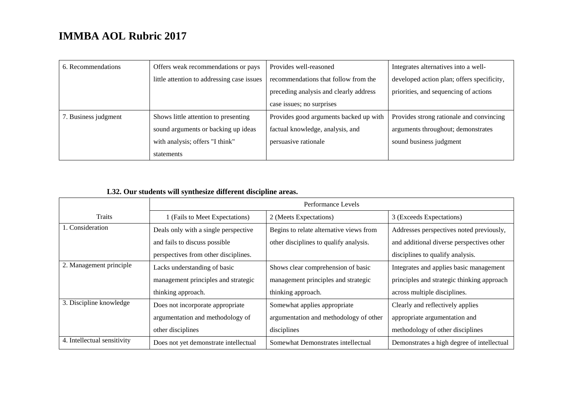| 6. Recommendations   | Offers weak recommendations or pays        | Provides well-reasoned                 | Integrates alternatives into a well-       |
|----------------------|--------------------------------------------|----------------------------------------|--------------------------------------------|
|                      | little attention to addressing case issues | recommendations that follow from the   | developed action plan; offers specificity, |
|                      |                                            | preceding analysis and clearly address | priorities, and sequencing of actions      |
|                      |                                            | case issues; no surprises              |                                            |
| 7. Business judgment | Shows little attention to presenting       | Provides good arguments backed up with | Provides strong rationale and convincing   |
|                      | sound arguments or backing up ideas        | factual knowledge, analysis, and       | arguments throughout; demonstrates         |
|                      | with analysis; offers "I think"            | persuasive rationale                   | sound business judgment                    |
|                      | statements                                 |                                        |                                            |

#### **L32. Our students will synthesize different discipline areas.**

|                             | Performance Levels                    |                                         |                                            |
|-----------------------------|---------------------------------------|-----------------------------------------|--------------------------------------------|
| <b>Traits</b>               | 1 (Fails to Meet Expectations)        | 2 (Meets Expectations)                  | 3 (Exceeds Expectations)                   |
| 1. Consideration            | Deals only with a single perspective  | Begins to relate alternative views from | Addresses perspectives noted previously,   |
|                             | and fails to discuss possible         | other disciplines to qualify analysis.  | and additional diverse perspectives other  |
|                             | perspectives from other disciplines.  |                                         | disciplines to qualify analysis.           |
| 2. Management principle     | Lacks understanding of basic          | Shows clear comprehension of basic      | Integrates and applies basic management    |
|                             | management principles and strategic   | management principles and strategic     | principles and strategic thinking approach |
|                             | thinking approach.                    | thinking approach.                      | across multiple disciplines.               |
| 3. Discipline knowledge     | Does not incorporate appropriate      | Somewhat applies appropriate            | Clearly and reflectively applies           |
|                             | argumentation and methodology of      | argumentation and methodology of other  | appropriate argumentation and              |
|                             | other disciplines                     | disciplines                             | methodology of other disciplines           |
| 4. Intellectual sensitivity | Does not yet demonstrate intellectual | Somewhat Demonstrates intellectual      | Demonstrates a high degree of intellectual |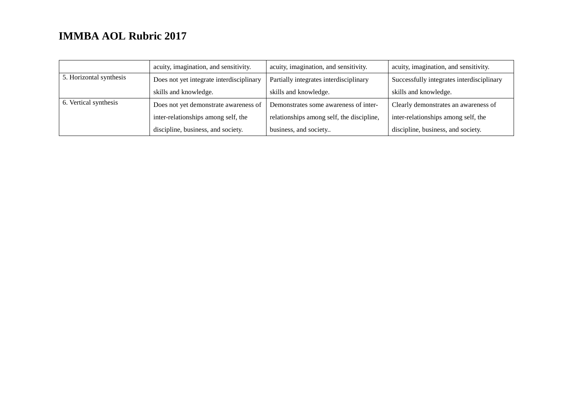|                         | acuity, imagination, and sensitivity.    | acuity, imagination, and sensitivity.     | acuity, imagination, and sensitivity.     |
|-------------------------|------------------------------------------|-------------------------------------------|-------------------------------------------|
| 5. Horizontal synthesis | Does not yet integrate interdisciplinary | Partially integrates interdisciplinary    | Successfully integrates interdisciplinary |
|                         | skills and knowledge.                    | skills and knowledge.                     | skills and knowledge.                     |
| 6. Vertical synthesis   | Does not yet demonstrate awareness of    | Demonstrates some awareness of inter-     | Clearly demonstrates an awareness of      |
|                         | inter-relationships among self, the      | relationships among self, the discipline, | inter-relationships among self, the       |
|                         | discipline, business, and society.       | business, and society                     | discipline, business, and society.        |